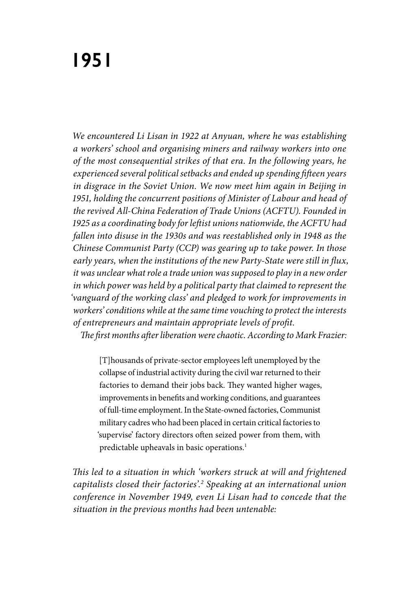*We encountered Li Lisan in 1922 at Anyuan, where he was establishing a workers' school and organising miners and railway workers into one of the most consequential strikes of that era. In the following years, he experienced several political setbacks and ended up spending fifteen years in disgrace in the Soviet Union. We now meet him again in Beijing in 1951, holding the concurrent positions of Minister of Labour and head of the revived All-China Federation of Trade Unions (ACFTU). Founded in 1925 as a coordinating body for leftist unions nationwide, the ACFTU had fallen into disuse in the 1930s and was reestablished only in 1948 as the Chinese Communist Party (CCP) was gearing up to take power. In those early years, when the institutions of the new Party-State were still in flux, it was unclear what role a trade union was supposed to play in a new order in which power was held by a political party that claimed to represent the 'vanguard of the working class' and pledged to work for improvements in workers' conditions while at the same time vouching to protect the interests of entrepreneurs and maintain appropriate levels of profit. The first months after liberation were chaotic. According to Mark Frazier:* 

[T]housands of private-sector employees left unemployed by the collapse of industrial activity during the civil war returned to their factories to demand their jobs back. They wanted higher wages, improvements in benefits and working conditions, and guarantees of full-time employment. In the State-owned factories, Communist military cadres who had been placed in certain critical factories to 'supervise' factory directors often seized power from them, with predictable upheavals in basic operations.<sup>1</sup>

*This led to a situation in which 'workers struck at will and frightened capitalists closed their factories'.2 Speaking at an international union conference in November 1949, even Li Lisan had to concede that the situation in the previous months had been untenable:*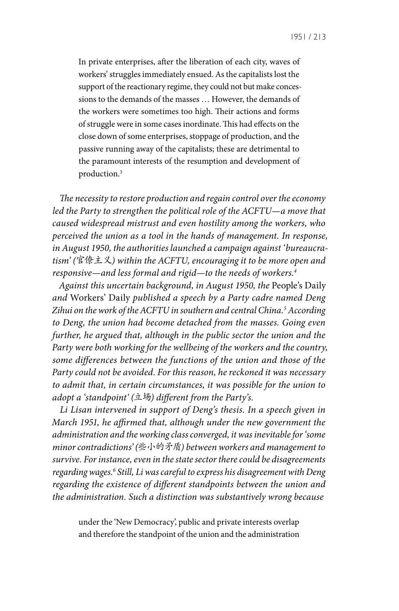1951 / 213

In private enterprises, after the liberation of each city, waves of workers' struggles immediately ensued. As the capitalists lost the support of the reactionary regime, they could not but make concessions to the demands of the masses … However, the demands of the workers were sometimes too high. Their actions and forms of struggle were in some cases inordinate. This had effects on the close down of some enterprises, stoppage of production, and the passive running away of the capitalists; these are detrimental to the paramount interests of the resumption and development of production.3

*The necessity to restore production and regain control over the economy led the Party to strengthen the political role of the ACFTU—a move that caused widespread mistrust and even hostility among the workers, who perceived the union as a tool in the hands of management. In response, in August 1950, the authorities launched a campaign against 'bureaucratism' (*官僚主义*) within the ACFTU, encouraging it to be more open and responsive—and less formal and rigid—to the needs of workers.4*

*Against this uncertain background, in August 1950, the* People's Daily *and* Workers' Daily *published a speech by a Party cadre named Deng Zihui on the work of the ACFTU in southern and central China.5 According to Deng, the union had become detached from the masses. Going even further, he argued that, although in the public sector the union and the Party were both working for the wellbeing of the workers and the country, some differences between the functions of the union and those of the Party could not be avoided. For this reason, he reckoned it was necessary to admit that, in certain circumstances, it was possible for the union to adopt a 'standpoint' (*立场*) different from the Party's.* 

*Li Lisan intervened in support of Deng's thesis. In a speech given in March 1951, he affirmed that, although under the new government the administration and the working class converged, it was inevitable for 'some minor contradictions' (*些小的矛盾*) between workers and management to survive. For instance, even in the state sector there could be disagreements regarding wages.6 Still, Li was careful to express his disagreement with Deng regarding the existence of different standpoints between the union and the administration. Such a distinction was substantively wrong because* 

under the 'New Democracy', public and private interests overlap and therefore the standpoint of the union and the administration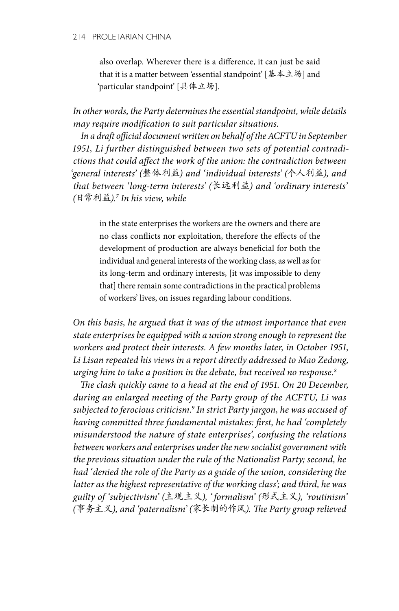## 214 PROLETARIAN CHINA

also overlap. Wherever there is a difference, it can just be said that it is a matter between 'essential standpoint' [基本立场] and 'particular standpoint' [具体立场].

*In other words, the Party determines the essential standpoint, while details may require modification to suit particular situations.*

*In a draft official document written on behalf of the ACFTU in September 1951, Li further distinguished between two sets of potential contradictions that could affect the work of the union: the contradiction between 'general interests' (*整体利益*) and 'individual interests' (*个人利益*), and that between 'long-term interests' (*长远利益*) and 'ordinary interests' (*日常利益*).7 In his view, while* 

in the state enterprises the workers are the owners and there are no class conflicts nor exploitation, therefore the effects of the development of production are always beneficial for both the individual and general interests of the working class, as well as for its long-term and ordinary interests, [it was impossible to deny that] there remain some contradictions in the practical problems of workers' lives, on issues regarding labour conditions.

*On this basis, he argued that it was of the utmost importance that even state enterprises be equipped with a union strong enough to represent the workers and protect their interests. A few months later, in October 1951, Li Lisan repeated his views in a report directly addressed to Mao Zedong, urging him to take a position in the debate, but received no response.8* 

*The clash quickly came to a head at the end of 1951. On 20 December, during an enlarged meeting of the Party group of the ACFTU, Li was subjected to ferocious criticism.9 In strict Party jargon, he was accused of having committed three fundamental mistakes: first, he had 'completely misunderstood the nature of state enterprises', confusing the relations between workers and enterprises under the new socialist government with the previous situation under the rule of the Nationalist Party; second, he had 'denied the role of the Party as a guide of the union, considering the latter as the highest representative of the working class'; and third, he was guilty of 'subjectivism' (*主观主义*), ' formalism' (*形式主义*), 'routinism' (*事务主义*), and 'paternalism' (*家长制的作风*). The Party group relieved*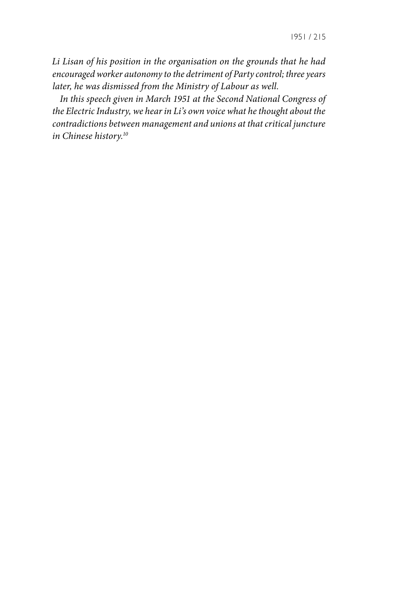*Li Lisan of his position in the organisation on the grounds that he had encouraged worker autonomy to the detriment of Party control; three years later, he was dismissed from the Ministry of Labour as well.* 

*In this speech given in March 1951 at the Second National Congress of the Electric Industry, we hear in Li's own voice what he thought about the contradictions between management and unions at that critical juncture in Chinese history.10*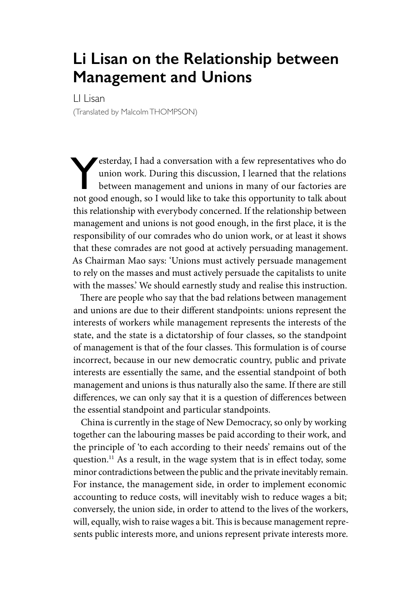## **Li Lisan on the Relationship between Management and Unions**

LI Lisan (Translated by Malcolm THOMPSON)

Yesterday, I had a conversation with a few representatives who do union work. During this discussion, I learned that the relations between management and unions in many of our factories are not good enough, so I would like to take this opportunity to talk about this relationship with everybody concerned. If the relationship between management and unions is not good enough, in the first place, it is the responsibility of our comrades who do union work, or at least it shows that these comrades are not good at actively persuading management. As Chairman Mao says: 'Unions must actively persuade management to rely on the masses and must actively persuade the capitalists to unite with the masses.' We should earnestly study and realise this instruction.

There are people who say that the bad relations between management and unions are due to their different standpoints: unions represent the interests of workers while management represents the interests of the state, and the state is a dictatorship of four classes, so the standpoint of management is that of the four classes. This formulation is of course incorrect, because in our new democratic country, public and private interests are essentially the same, and the essential standpoint of both management and unions is thus naturally also the same. If there are still differences, we can only say that it is a question of differences between the essential standpoint and particular standpoints.

China is currently in the stage of New Democracy, so only by working together can the labouring masses be paid according to their work, and the principle of 'to each according to their needs' remains out of the question.11 As a result, in the wage system that is in effect today, some minor contradictions between the public and the private inevitably remain. For instance, the management side, in order to implement economic accounting to reduce costs, will inevitably wish to reduce wages a bit; conversely, the union side, in order to attend to the lives of the workers, will, equally, wish to raise wages a bit. This is because management represents public interests more, and unions represent private interests more.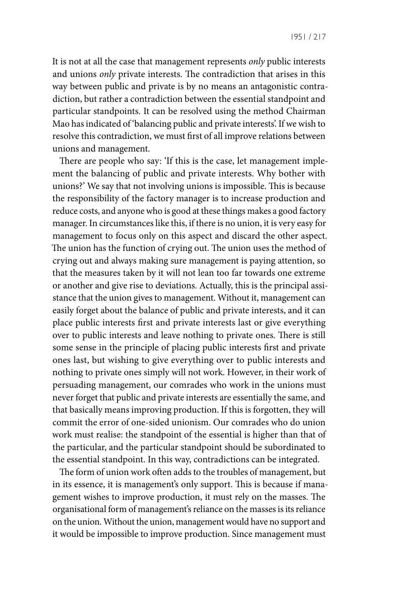It is not at all the case that management represents *only* public interests and unions *only* private interests. The contradiction that arises in this way between public and private is by no means an antagonistic contradiction, but rather a contradiction between the essential standpoint and particular standpoints. It can be resolved using the method Chairman Mao has indicated of 'balancing public and private interests'. If we wish to resolve this contradiction, we must first of all improve relations between unions and management.

There are people who say: 'If this is the case, let management implement the balancing of public and private interests. Why bother with unions?' We say that not involving unions is impossible. This is because the responsibility of the factory manager is to increase production and reduce costs, and anyone who is good at these things makes a good factory manager. In circumstances like this, if there is no union, it is very easy for management to focus only on this aspect and discard the other aspect. The union has the function of crying out. The union uses the method of crying out and always making sure management is paying attention, so that the measures taken by it will not lean too far towards one extreme or another and give rise to deviations. Actually, this is the principal assistance that the union gives to management. Without it, management can easily forget about the balance of public and private interests, and it can place public interests first and private interests last or give everything over to public interests and leave nothing to private ones. There is still some sense in the principle of placing public interests first and private ones last, but wishing to give everything over to public interests and nothing to private ones simply will not work. However, in their work of persuading management, our comrades who work in the unions must never forget that public and private interests are essentially the same, and that basically means improving production. If this is forgotten, they will commit the error of one-sided unionism. Our comrades who do union work must realise: the standpoint of the essential is higher than that of the particular, and the particular standpoint should be subordinated to the essential standpoint. In this way, contradictions can be integrated.

The form of union work often adds to the troubles of management, but in its essence, it is management's only support. This is because if management wishes to improve production, it must rely on the masses. The organisational form of management's reliance on the masses is its reliance on the union. Without the union, management would have no support and it would be impossible to improve production. Since management must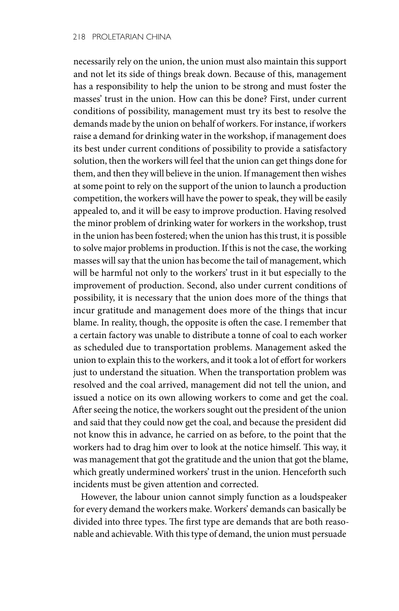necessarily rely on the union, the union must also maintain this support and not let its side of things break down. Because of this, management has a responsibility to help the union to be strong and must foster the masses' trust in the union. How can this be done? First, under current conditions of possibility, management must try its best to resolve the demands made by the union on behalf of workers. For instance, if workers raise a demand for drinking water in the workshop, if management does its best under current conditions of possibility to provide a satisfactory solution, then the workers will feel that the union can get things done for them, and then they will believe in the union. If management then wishes at some point to rely on the support of the union to launch a production competition, the workers will have the power to speak, they will be easily appealed to, and it will be easy to improve production. Having resolved the minor problem of drinking water for workers in the workshop, trust in the union has been fostered; when the union has this trust, it is possible to solve major problems in production. If this is not the case, the working masses will say that the union has become the tail of management, which will be harmful not only to the workers' trust in it but especially to the improvement of production. Second, also under current conditions of possibility, it is necessary that the union does more of the things that incur gratitude and management does more of the things that incur blame. In reality, though, the opposite is often the case. I remember that a certain factory was unable to distribute a tonne of coal to each worker as scheduled due to transportation problems. Management asked the union to explain this to the workers, and it took a lot of effort for workers just to understand the situation. When the transportation problem was resolved and the coal arrived, management did not tell the union, and issued a notice on its own allowing workers to come and get the coal. After seeing the notice, the workers sought out the president of the union and said that they could now get the coal, and because the president did not know this in advance, he carried on as before, to the point that the workers had to drag him over to look at the notice himself. This way, it was management that got the gratitude and the union that got the blame, which greatly undermined workers' trust in the union. Henceforth such incidents must be given attention and corrected.

However, the labour union cannot simply function as a loudspeaker for every demand the workers make. Workers' demands can basically be divided into three types. The first type are demands that are both reasonable and achievable. With this type of demand, the union must persuade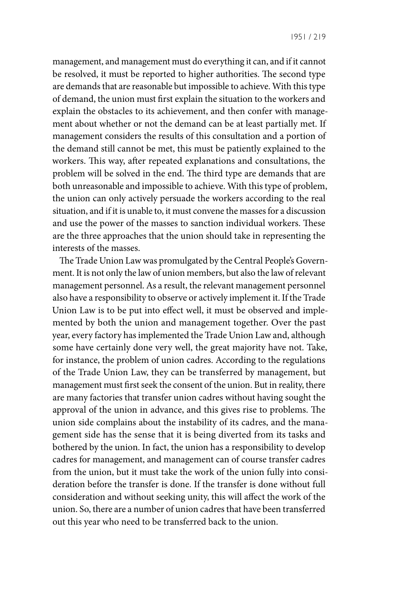management, and management must do everything it can, and if it cannot be resolved, it must be reported to higher authorities. The second type are demands that are reasonable but impossible to achieve. With this type of demand, the union must first explain the situation to the workers and explain the obstacles to its achievement, and then confer with management about whether or not the demand can be at least partially met. If management considers the results of this consultation and a portion of the demand still cannot be met, this must be patiently explained to the workers. This way, after repeated explanations and consultations, the problem will be solved in the end. The third type are demands that are both unreasonable and impossible to achieve. With this type of problem, the union can only actively persuade the workers according to the real situation, and if it is unable to, it must convene the masses for a discussion and use the power of the masses to sanction individual workers. These are the three approaches that the union should take in representing the interests of the masses.

The Trade Union Law was promulgated by the Central People's Government. It is not only the law of union members, but also the law of relevant management personnel. As a result, the relevant management personnel also have a responsibility to observe or actively implement it. If the Trade Union Law is to be put into effect well, it must be observed and implemented by both the union and management together. Over the past year, every factory has implemented the Trade Union Law and, although some have certainly done very well, the great majority have not. Take, for instance, the problem of union cadres. According to the regulations of the Trade Union Law, they can be transferred by management, but management must first seek the consent of the union. But in reality, there are many factories that transfer union cadres without having sought the approval of the union in advance, and this gives rise to problems. The union side complains about the instability of its cadres, and the management side has the sense that it is being diverted from its tasks and bothered by the union. In fact, the union has a responsibility to develop cadres for management, and management can of course transfer cadres from the union, but it must take the work of the union fully into consideration before the transfer is done. If the transfer is done without full consideration and without seeking unity, this will affect the work of the union. So, there are a number of union cadres that have been transferred out this year who need to be transferred back to the union.